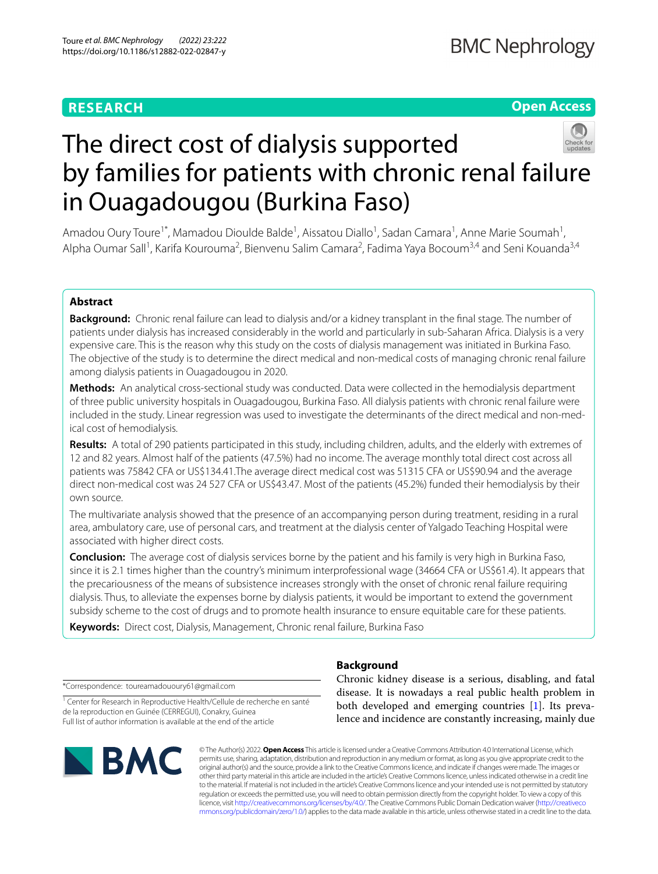# **RESEARCH**

# **Open Access**



# The direct cost of dialysis supported by families for patients with chronic renal failure in Ouagadougou (Burkina Faso)

Amadou Oury Toure<sup>1\*</sup>, Mamadou Dioulde Balde<sup>1</sup>, Aissatou Diallo<sup>1</sup>, Sadan Camara<sup>1</sup>, Anne Marie Soumah<sup>1</sup>, Alpha Oumar Sall<sup>1</sup>, Karifa Kourouma<sup>2</sup>, Bienvenu Salim Camara<sup>2</sup>, Fadima Yaya Bocoum<sup>3,4</sup> and Seni Kouanda<sup>3,4</sup>

## **Abstract**

**Background:** Chronic renal failure can lead to dialysis and/or a kidney transplant in the fnal stage*.* The number of patients under dialysis has increased considerably in the world and particularly in sub-Saharan Africa. Dialysis is a very expensive care. This is the reason why this study on the costs of dialysis management was initiated in Burkina Faso. The objective of the study is to determine the direct medical and non-medical costs of managing chronic renal failure among dialysis patients in Ouagadougou in 2020.

**Methods:** An analytical cross-sectional study was conducted. Data were collected in the hemodialysis department of three public university hospitals in Ouagadougou, Burkina Faso. All dialysis patients with chronic renal failure were included in the study. Linear regression was used to investigate the determinants of the direct medical and non-medical cost of hemodialysis.

**Results:** A total of 290 patients participated in this study, including children, adults, and the elderly with extremes of 12 and 82 years. Almost half of the patients (47.5%) had no income. The average monthly total direct cost across all patients was 75842 CFA or US\$134.41.The average direct medical cost was 51315 CFA or US\$90.94 and the average direct non-medical cost was 24 527 CFA or US\$43.47. Most of the patients (45.2%) funded their hemodialysis by their own source.

The multivariate analysis showed that the presence of an accompanying person during treatment, residing in a rural area, ambulatory care, use of personal cars, and treatment at the dialysis center of Yalgado Teaching Hospital were associated with higher direct costs.

**Conclusion:** The average cost of dialysis services borne by the patient and his family is very high in Burkina Faso, since it is 2.1 times higher than the country's minimum interprofessional wage (34664 CFA or US\$61.4). It appears that the precariousness of the means of subsistence increases strongly with the onset of chronic renal failure requiring dialysis. Thus, to alleviate the expenses borne by dialysis patients, it would be important to extend the government subsidy scheme to the cost of drugs and to promote health insurance to ensure equitable care for these patients.

**Keywords:** Direct cost, Dialysis, Management, Chronic renal failure, Burkina Faso

\*Correspondence: toureamadououry61@gmail.com

<sup>1</sup> Center for Research in Reproductive Health/Cellule de recherche en santé de la reproduction en Guinée (CERREGUI), Conakry, Guinea Full list of author information is available at the end of the article



# **Background**

Chronic kidney disease is a serious, disabling, and fatal disease. It is nowadays a real public health problem in both developed and emerging countries [[1\]](#page-8-0). Its prevalence and incidence are constantly increasing, mainly due

© The Author(s) 2022. **Open Access** This article is licensed under a Creative Commons Attribution 4.0 International License, which permits use, sharing, adaptation, distribution and reproduction in any medium or format, as long as you give appropriate credit to the original author(s) and the source, provide a link to the Creative Commons licence, and indicate if changes were made. The images or other third party material in this article are included in the article's Creative Commons licence, unless indicated otherwise in a credit line to the material. If material is not included in the article's Creative Commons licence and your intended use is not permitted by statutory regulation or exceeds the permitted use, you will need to obtain permission directly from the copyright holder. To view a copy of this licence, visit [http://creativecommons.org/licenses/by/4.0/.](http://creativecommons.org/licenses/by/4.0/) The Creative Commons Public Domain Dedication waiver ([http://creativeco](http://creativecommons.org/publicdomain/zero/1.0/) [mmons.org/publicdomain/zero/1.0/](http://creativecommons.org/publicdomain/zero/1.0/)) applies to the data made available in this article, unless otherwise stated in a credit line to the data.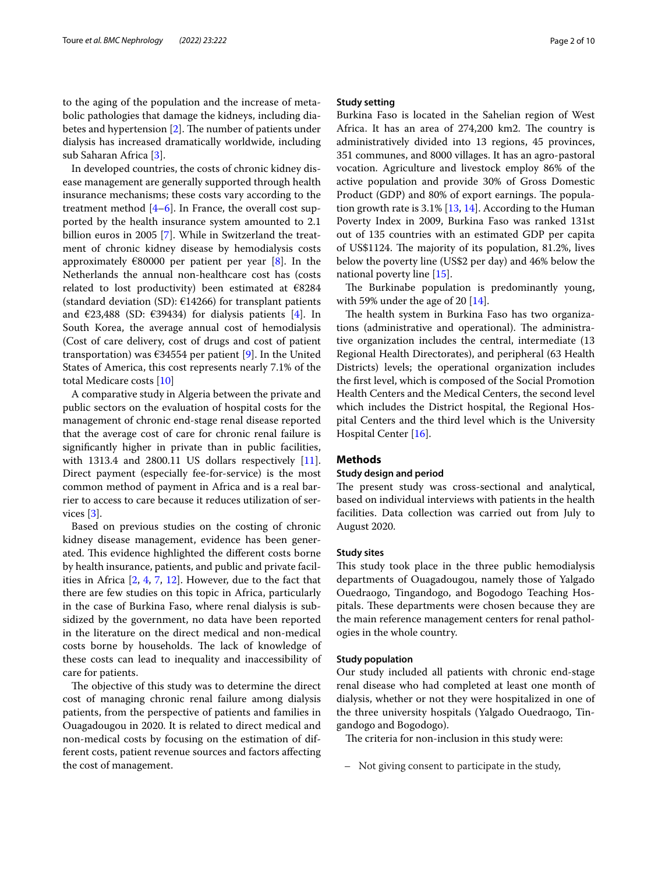to the aging of the population and the increase of metabolic pathologies that damage the kidneys, including diabetes and hypertension  $[2]$  $[2]$ . The number of patients under dialysis has increased dramatically worldwide, including sub Saharan Africa [[3](#page-8-2)].

In developed countries, the costs of chronic kidney disease management are generally supported through health insurance mechanisms; these costs vary according to the treatment method  $[4-6]$  $[4-6]$  $[4-6]$ . In France, the overall cost supported by the health insurance system amounted to 2.1 billion euros in 2005 [\[7](#page-8-5)]. While in Switzerland the treatment of chronic kidney disease by hemodialysis costs approximately  $\epsilon$ 80000 per patient per year [[8\]](#page-8-6). In the Netherlands the annual non-healthcare cost has (costs related to lost productivity) been estimated at  $€8284$ (standard deviation (SD):  $\epsilon$ 14266) for transplant patients and  $\epsilon$ 23,488 (SD:  $\epsilon$ 39434) for dialysis patients [\[4](#page-8-3)]. In South Korea, the average annual cost of hemodialysis (Cost of care delivery, cost of drugs and cost of patient transportation) was  $634554$  per patient [\[9](#page-8-7)]. In the United States of America, this cost represents nearly 7.1% of the total Medicare costs [[10\]](#page-8-8)

A comparative study in Algeria between the private and public sectors on the evaluation of hospital costs for the management of chronic end-stage renal disease reported that the average cost of care for chronic renal failure is signifcantly higher in private than in public facilities, with 1313.4 and 2800.11 US dollars respectively [\[11](#page-8-9)]. Direct payment (especially fee-for-service) is the most common method of payment in Africa and is a real barrier to access to care because it reduces utilization of services [\[3](#page-8-2)].

Based on previous studies on the costing of chronic kidney disease management, evidence has been generated. This evidence highlighted the different costs borne by health insurance, patients, and public and private facilities in Africa [[2](#page-8-1), [4,](#page-8-3) [7,](#page-8-5) [12](#page-9-0)]. However, due to the fact that there are few studies on this topic in Africa, particularly in the case of Burkina Faso, where renal dialysis is subsidized by the government, no data have been reported in the literature on the direct medical and non-medical costs borne by households. The lack of knowledge of these costs can lead to inequality and inaccessibility of care for patients.

The objective of this study was to determine the direct cost of managing chronic renal failure among dialysis patients, from the perspective of patients and families in Ouagadougou in 2020. It is related to direct medical and non-medical costs by focusing on the estimation of different costs, patient revenue sources and factors afecting the cost of management.

## **Study setting**

Burkina Faso is located in the Sahelian region of West Africa. It has an area of  $274,200$  km2. The country is administratively divided into 13 regions, 45 provinces, 351 communes, and 8000 villages. It has an agro-pastoral vocation. Agriculture and livestock employ 86% of the active population and provide 30% of Gross Domestic Product (GDP) and 80% of export earnings. The population growth rate is  $3.1\%$  [[13,](#page-9-1) [14\]](#page-9-2). According to the Human Poverty Index in 2009, Burkina Faso was ranked 131st out of 135 countries with an estimated GDP per capita of US\$1124. The majority of its population, 81.2%, lives below the poverty line (US\$2 per day) and 46% below the national poverty line [\[15](#page-9-3)].

The Burkinabe population is predominantly young, with 59% under the age of 20 [[14\]](#page-9-2).

The health system in Burkina Faso has two organizations (administrative and operational). The administrative organization includes the central, intermediate (13 Regional Health Directorates), and peripheral (63 Health Districts) levels; the operational organization includes the frst level, which is composed of the Social Promotion Health Centers and the Medical Centers, the second level which includes the District hospital, the Regional Hospital Centers and the third level which is the University Hospital Center [\[16](#page-9-4)].

## **Methods**

## **Study design and period**

The present study was cross-sectional and analytical, based on individual interviews with patients in the health facilities. Data collection was carried out from July to August 2020.

## **Study sites**

This study took place in the three public hemodialysis departments of Ouagadougou, namely those of Yalgado Ouedraogo, Tingandogo, and Bogodogo Teaching Hospitals. These departments were chosen because they are the main reference management centers for renal pathologies in the whole country.

## **Study population**

Our study included all patients with chronic end-stage renal disease who had completed at least one month of dialysis, whether or not they were hospitalized in one of the three university hospitals (Yalgado Ouedraogo, Tingandogo and Bogodogo).

The criteria for non-inclusion in this study were:

– Not giving consent to participate in the study,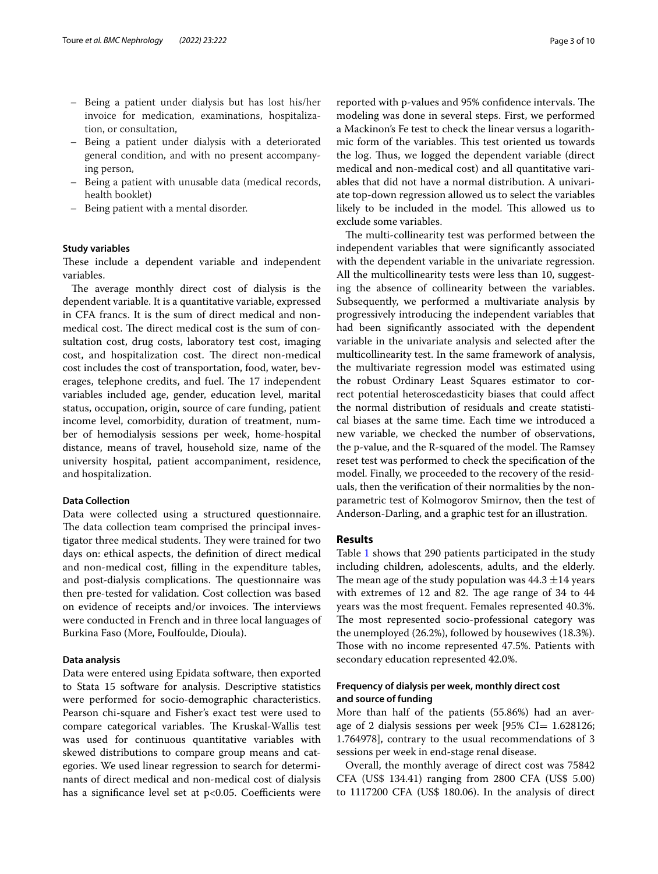- Being a patient under dialysis but has lost his/her invoice for medication, examinations, hospitalization, or consultation,
- Being a patient under dialysis with a deteriorated general condition, and with no present accompanying person,
- Being a patient with unusable data (medical records, health booklet)
- Being patient with a mental disorder.

## **Study variables**

These include a dependent variable and independent variables.

The average monthly direct cost of dialysis is the dependent variable. It is a quantitative variable, expressed in CFA francs. It is the sum of direct medical and nonmedical cost. The direct medical cost is the sum of consultation cost, drug costs, laboratory test cost, imaging cost, and hospitalization cost. The direct non-medical cost includes the cost of transportation, food, water, beverages, telephone credits, and fuel. The 17 independent variables included age, gender, education level, marital status, occupation, origin, source of care funding, patient income level, comorbidity, duration of treatment, number of hemodialysis sessions per week, home-hospital distance, means of travel, household size, name of the university hospital, patient accompaniment, residence, and hospitalization.

## **Data Collection**

Data were collected using a structured questionnaire. The data collection team comprised the principal investigator three medical students. They were trained for two days on: ethical aspects, the defnition of direct medical and non-medical cost, flling in the expenditure tables, and post-dialysis complications. The questionnaire was then pre-tested for validation. Cost collection was based on evidence of receipts and/or invoices. The interviews were conducted in French and in three local languages of Burkina Faso (More, Foulfoulde, Dioula).

#### **Data analysis**

Data were entered using Epidata software, then exported to Stata 15 software for analysis. Descriptive statistics were performed for socio-demographic characteristics. Pearson chi-square and Fisher's exact test were used to compare categorical variables. The Kruskal-Wallis test was used for continuous quantitative variables with skewed distributions to compare group means and categories. We used linear regression to search for determinants of direct medical and non-medical cost of dialysis has a significance level set at  $p<0.05$ . Coefficients were reported with p-values and 95% confidence intervals. The modeling was done in several steps. First, we performed a Mackinon's Fe test to check the linear versus a logarithmic form of the variables. This test oriented us towards the log. Thus, we logged the dependent variable (direct medical and non-medical cost) and all quantitative variables that did not have a normal distribution. A univariate top-down regression allowed us to select the variables likely to be included in the model. This allowed us to exclude some variables.

The multi-collinearity test was performed between the independent variables that were signifcantly associated with the dependent variable in the univariate regression. All the multicollinearity tests were less than 10, suggesting the absence of collinearity between the variables. Subsequently, we performed a multivariate analysis by progressively introducing the independent variables that had been signifcantly associated with the dependent variable in the univariate analysis and selected after the multicollinearity test. In the same framework of analysis, the multivariate regression model was estimated using the robust Ordinary Least Squares estimator to correct potential heteroscedasticity biases that could afect the normal distribution of residuals and create statistical biases at the same time. Each time we introduced a new variable, we checked the number of observations, the p-value, and the R-squared of the model. The Ramsey reset test was performed to check the specifcation of the model. Finally, we proceeded to the recovery of the residuals, then the verifcation of their normalities by the nonparametric test of Kolmogorov Smirnov, then the test of Anderson-Darling, and a graphic test for an illustration.

## **Results**

Table [1](#page-3-0) shows that 290 patients participated in the study including children, adolescents, adults, and the elderly. The mean age of the study population was  $44.3 \pm 14$  years with extremes of 12 and 82. The age range of  $34$  to  $44$ years was the most frequent. Females represented 40.3%. The most represented socio-professional category was the unemployed (26.2%), followed by housewives (18.3%). Those with no income represented 47.5%. Patients with secondary education represented 42.0%.

## **Frequency of dialysis per week, monthly direct cost and source of funding**

More than half of the patients (55.86%) had an average of 2 dialysis sessions per week  $[95\% \text{ CI} = 1.628126;$ 1.764978], contrary to the usual recommendations of 3 sessions per week in end-stage renal disease.

Overall, the monthly average of direct cost was 75842 CFA (US\$ 134.41) ranging from 2800 CFA (US\$ 5.00) to 1117200 CFA (US\$ 180.06). In the analysis of direct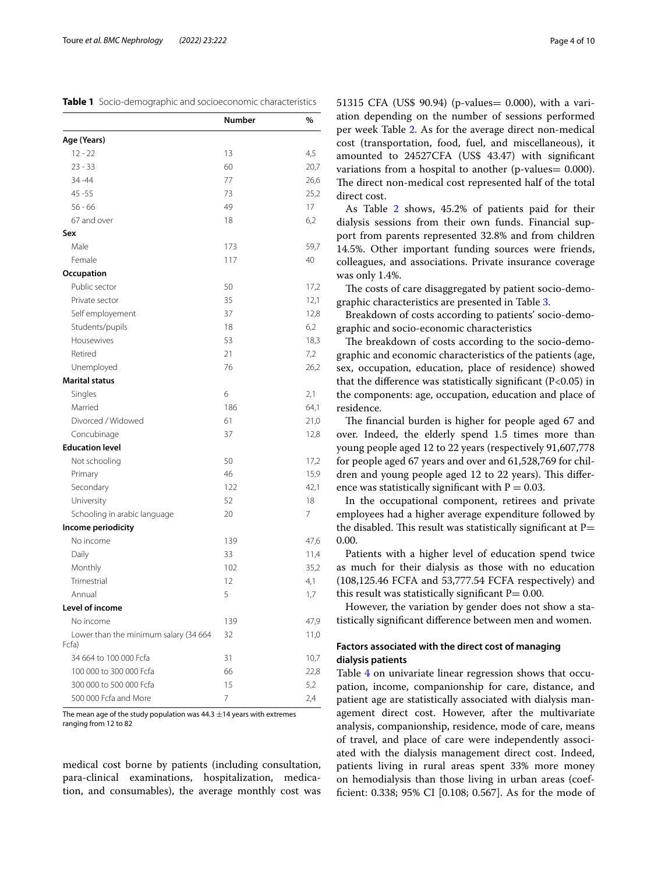<span id="page-3-0"></span>**Table 1** Socio-demographic and socioeconomic characteristics

|                                       | Number | %    |
|---------------------------------------|--------|------|
| Age (Years)                           |        |      |
| $12 - 22$                             | 13     | 4,5  |
| $23 - 33$                             | 60     | 20,7 |
| 34 - 44                               | 77     | 26,6 |
| $45 - 55$                             | 73     | 25,2 |
| $56 - 66$                             | 49     | 17   |
| 67 and over                           | 18     | 6,2  |
| Sex                                   |        |      |
| Male                                  | 173    | 59,7 |
| Female                                | 117    | 40   |
| Occupation                            |        |      |
| Public sector                         | 50     | 17,2 |
| Private sector                        | 35     | 12,1 |
| Self employement                      | 37     | 12,8 |
| Students/pupils                       | 18     | 6,2  |
| Housewives                            | 53     | 18,3 |
| Retired                               | 21     | 7,2  |
| Unemployed                            | 76     | 26,2 |
| <b>Marital status</b>                 |        |      |
| Singles                               | 6      | 2,1  |
| Married                               | 186    | 64,1 |
| Divorced / Widowed                    | 61     | 21,0 |
| Concubinage                           | 37     | 12,8 |
| <b>Education level</b>                |        |      |
| Not schooling                         | 50     | 17,2 |
| Primary                               | 46     | 15,9 |
| Secondary                             | 122    | 42,1 |
| University                            | 52     | 18   |
| Schooling in arabic language          | 20     | 7    |
| Income periodicity                    |        |      |
| No income                             | 139    | 47,6 |
| Daily                                 | 33     | 11,4 |
| Monthly                               | 102    | 35,2 |
| Trimestrial                           | 12     | 4,1  |
| Annual                                | 5      | 1,7  |
| Level of income                       |        |      |
| No income                             | 139    | 47,9 |
| Lower than the minimum salary (34 664 | 32     | 11,0 |
| Fcfa)                                 |        |      |
| 34 664 to 100 000 Fcfa                | 31     | 10,7 |
| 100 000 to 300 000 Fcfa               | 66     | 22,8 |
| 300 000 to 500 000 Fcfa               | 15     | 5,2  |
| 500 000 Fcfa and More                 | 7      | 2,4  |

The mean age of the study population was  $44.3 \pm 14$  years with extremes ranging from 12 to 82

medical cost borne by patients (including consultation, para-clinical examinations, hospitalization, medication, and consumables), the average monthly cost was 51315 CFA (US\$ 90.94) (p-values= 0.000), with a variation depending on the number of sessions performed per week Table [2.](#page-4-0) As for the average direct non-medical cost (transportation, food, fuel, and miscellaneous), it amounted to 24527CFA (US\$ 43.47) with signifcant variations from a hospital to another (p-values = 0.000). The direct non-medical cost represented half of the total direct cost.

As Table [2](#page-4-0) shows, 45.2% of patients paid for their dialysis sessions from their own funds. Financial support from parents represented 32.8% and from children 14.5%. Other important funding sources were friends, colleagues, and associations. Private insurance coverage was only 1.4%.

The costs of care disaggregated by patient socio-demographic characteristics are presented in Table [3](#page-5-0).

Breakdown of costs according to patients' socio-demographic and socio-economic characteristics

The breakdown of costs according to the socio-demographic and economic characteristics of the patients (age, sex, occupation, education, place of residence) showed that the difference was statistically significant  $(P<0.05)$  in the components: age, occupation, education and place of residence.

The financial burden is higher for people aged 67 and over. Indeed, the elderly spend 1.5 times more than young people aged 12 to 22 years (respectively 91,607,778 for people aged 67 years and over and 61,528,769 for children and young people aged 12 to 22 years). This difference was statistically significant with  $P = 0.03$ .

In the occupational component, retirees and private employees had a higher average expenditure followed by the disabled. This result was statistically significant at  $P=$ 0.00.

Patients with a higher level of education spend twice as much for their dialysis as those with no education (108,125.46 FCFA and 53,777.54 FCFA respectively) and this result was statistically significant  $P = 0.00$ .

However, the variation by gender does not show a statistically signifcant diference between men and women.

## **Factors associated with the direct cost of managing dialysis patients**

Table [4](#page-6-0) on univariate linear regression shows that occupation, income, companionship for care, distance, and patient age are statistically associated with dialysis management direct cost. However, after the multivariate analysis, companionship, residence, mode of care, means of travel, and place of care were independently associated with the dialysis management direct cost. Indeed, patients living in rural areas spent 33% more money on hemodialysis than those living in urban areas (coeffcient: 0.338; 95% CI [0.108; 0.567]. As for the mode of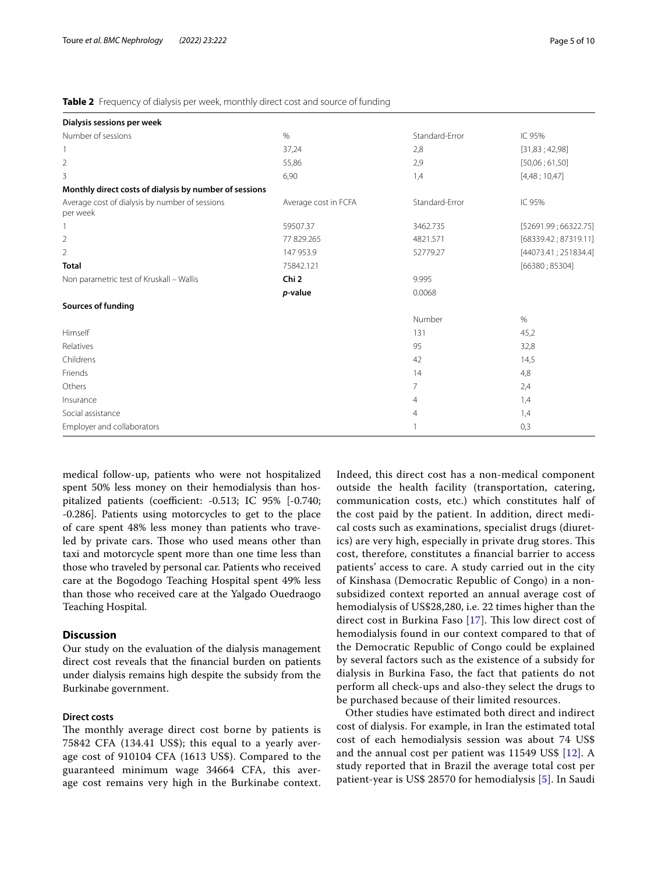<span id="page-4-0"></span>

| Table 2 Frequency of dialysis per week, monthly direct cost and source of funding |  |
|-----------------------------------------------------------------------------------|--|
|                                                                                   |  |

| Dialysis sessions per week                                 |                      |                |                      |
|------------------------------------------------------------|----------------------|----------------|----------------------|
| Number of sessions                                         | %                    | Standard-Error | IC 95%               |
|                                                            | 37,24                | 2,8            | [31,83; 42,98]       |
| $\overline{2}$                                             | 55,86                | 2,9            | [50,06;61,50]        |
| 3                                                          | 6,90                 | 1,4            | [4,48;10,47]         |
| Monthly direct costs of dialysis by number of sessions     |                      |                |                      |
| Average cost of dialysis by number of sessions<br>per week | Average cost in FCFA | Standard-Error | IC 95%               |
|                                                            | 59507.37             | 3462.735       | [52691.99; 66322.75] |
| $\overline{2}$                                             | 77 829.265           | 4821.571       | [68339.42; 87319.11] |
| $\overline{2}$                                             | 147 953.9            | 52779.27       | [44073.41; 251834.4] |
| <b>Total</b>                                               | 75842.121            |                | [66380; 85304]       |
| Non parametric test of Kruskall - Wallis                   | Chi <sub>2</sub>     | 9.995          |                      |
|                                                            | p-value              | 0.0068         |                      |
| Sources of funding                                         |                      |                |                      |
|                                                            |                      | Number         | $\%$                 |
| Himself                                                    |                      | 131            | 45,2                 |
| Relatives                                                  |                      | 95             | 32,8                 |
| Childrens                                                  |                      | 42             | 14,5                 |
| Friends                                                    |                      | 14             | 4,8                  |
| Others                                                     |                      | 7              | 2,4                  |
| Insurance                                                  |                      | $\overline{4}$ | 1,4                  |
| Social assistance                                          |                      | 4              | 1,4                  |
| Employer and collaborators                                 |                      | 1              | 0,3                  |

medical follow-up, patients who were not hospitalized spent 50% less money on their hemodialysis than hospitalized patients (coefficient:  $-0.513$ ; IC 95%  $[-0.740;$ -0.286]. Patients using motorcycles to get to the place of care spent 48% less money than patients who traveled by private cars. Those who used means other than taxi and motorcycle spent more than one time less than those who traveled by personal car. Patients who received care at the Bogodogo Teaching Hospital spent 49% less than those who received care at the Yalgado Ouedraogo Teaching Hospital.

## **Discussion**

Our study on the evaluation of the dialysis management direct cost reveals that the fnancial burden on patients under dialysis remains high despite the subsidy from the Burkinabe government.

## **Direct costs**

The monthly average direct cost borne by patients is 75842 CFA (134.41 US\$); this equal to a yearly average cost of 910104 CFA (1613 US\$). Compared to the guaranteed minimum wage 34664 CFA, this average cost remains very high in the Burkinabe context. Indeed, this direct cost has a non-medical component outside the health facility (transportation, catering, communication costs, etc.) which constitutes half of the cost paid by the patient. In addition, direct medical costs such as examinations, specialist drugs (diuretics) are very high, especially in private drug stores. This cost, therefore, constitutes a fnancial barrier to access patients' access to care. A study carried out in the city of Kinshasa (Democratic Republic of Congo) in a nonsubsidized context reported an annual average cost of hemodialysis of US\$28,280, i.e. 22 times higher than the direct cost in Burkina Faso  $[17]$  $[17]$ . This low direct cost of hemodialysis found in our context compared to that of the Democratic Republic of Congo could be explained by several factors such as the existence of a subsidy for dialysis in Burkina Faso, the fact that patients do not perform all check-ups and also-they select the drugs to be purchased because of their limited resources.

Other studies have estimated both direct and indirect cost of dialysis. For example, in Iran the estimated total cost of each hemodialysis session was about 74 US\$ and the annual cost per patient was 11549 US\$ [[12\]](#page-9-0). A study reported that in Brazil the average total cost per patient-year is US\$ 28570 for hemodialysis [[5\]](#page-8-10). In Saudi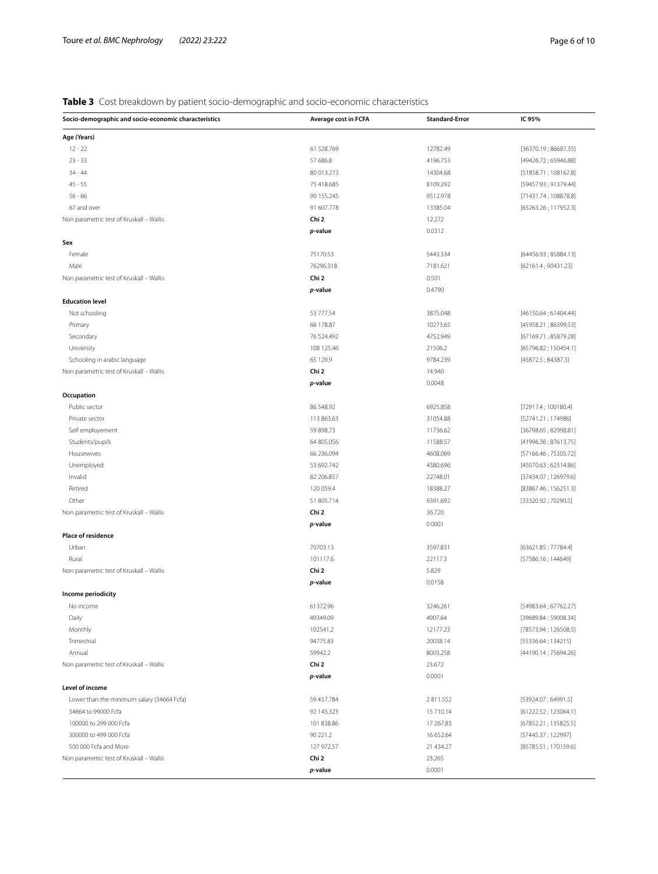# <span id="page-5-0"></span>**Table 3** Cost breakdown by patient socio-demographic and socio-economic characteristics

| Socio-demographic and socio-economic characteristics | Average cost in FCFA | <b>Standard-Error</b> | IC 95%               |
|------------------------------------------------------|----------------------|-----------------------|----------------------|
| Age (Years)                                          |                      |                       |                      |
| $12 - 22$                                            | 61 528.769           | 12782.49              | [36370.19; 86687.35] |
| $23 - 33$                                            | 57 686.8             | 4196.753              | [49426.72; 65946.88] |
| $34 - 44$                                            | 80 013.273           | 14304.68              | [51858.71; 108167.8] |
| $45 - 55$                                            | 75 418.685           | 8109.292              | [59457.93; 91379.44] |
| $56 - 66$                                            | 90 155.245           | 9512.978              | [71431.74; 108878.8] |
| 67 and over                                          | 91 607.778           | 13385.04              | [65263.26; 117952.3] |
| Non parametric test of Kruskall - Wallis             | Chi 2                | 12.272                |                      |
|                                                      | p-value              | 0.0312                |                      |
| Sex                                                  |                      |                       |                      |
| Female                                               | 75170.53             | 5443.334              | [64456.93; 85884.13] |
| Male                                                 | 76296.318            | 7181.621              | [62161.4; 90431.23]  |
| Non parametric test of Kruskall - Wallis             | Chi 2                | 0.501                 |                      |
|                                                      | p-value              | 0.4790                |                      |
| <b>Education level</b>                               |                      |                       |                      |
| Not schooling                                        | 53 777.54            | 3875.048              | [46150.64; 61404.44] |
| Primary                                              | 66 178.87            | 10273.65              | [45958.21; 86399.53] |
| Secondary                                            | 76 524.492           | 4752.949              | [67169.71; 85879.28] |
| University                                           | 108 125.46           | 21506.2               | [65796.82; 150454.1] |
| Schooling in arabic language                         | 65 129.9             | 9784.239              | [45872.5; 84387.3]   |
| Non parametric test of Kruskall - Wallis             | Chi 2                | 14.940                |                      |
|                                                      | p-value              | 0.0048                |                      |
| Occupation                                           |                      |                       |                      |
| Public sector                                        | 86 548.92            | 6925.858              | [72917.4; 100180.4]  |
| Private sector                                       | 113 863.63           | 31054.88              | [52741.21; 174986]   |
| Self employement                                     | 59 898.73            | 11736.62              | [36798.65; 82998.81] |
| Students/pupils                                      | 64 805.056           | 11588.57              | [41996.36; 87613.75] |
| Housewives                                           | 66 236.094           | 4608.069              | [57166.46; 75305.72] |
| Unemployed                                           | 53 692.742           | 4380.696              | [45070.63; 62314.86] |
| Invalid                                              | 82 206.857           | 22748.01              | [37434.07; 126979.6] |
| Retired                                              | 120 059.4            | 18388.27              | [83867.46; 156251.3] |
| Other                                                | 51 805.714           | 9391.692              | [33320.92; 70290.5]  |
| Non parametric test of Kruskall - Wallis             | Chi 2                | 36.720                |                      |
|                                                      | p-value              | 0.0001                |                      |
| Place of residence                                   |                      |                       |                      |
| Urban                                                | 70703.13             | 3597.831              | [63621.85; 77784.4]  |
| Rural                                                | 101117.6             | 22117.3               | [57586.16; 144649]   |
| Non parametric test of Kruskall - Wallis             | Chi 2                | 5.829                 |                      |
|                                                      | p-value              | 0.0158                |                      |
| Income periodicity                                   |                      |                       |                      |
| No income                                            | 61372.96             | 3246.261              | [54983.64; 67762.27] |
| Daily                                                | 49349.09             | 4907.64               | [39689.84; 59008.34] |
| Monthly                                              | 102541.2             | 12177.23              | [78573.94; 126508.5] |
| Trimestrial                                          | 94775.83             | 20038.14              | [55336.64; 134215]   |
| Annual                                               | 59942.2              | 8003.258              | [44190.14; 75694.26] |
| Non parametric test of Kruskall - Wallis             | Chi 2                | 23.672                |                      |
|                                                      | p-value              | 0.0001                |                      |
| Level of income                                      |                      |                       |                      |
| Lower than the minimum salary (34664 Fcfa)           | 59 457.784           | 2811.552              | [53924.07; 64991.5]  |
| 34664 to 99000 Fcfa                                  | 92 143.323           | 15 710.14             | [61222.52; 123064.1] |
| 100000 to 299 000 Fcfa                               | 101 838.86           | 17 267.83             | [67852.21; 135825.5] |
| 300000 to 499 000 Fcfa                               | 90 221.2             | 16 652.64             | [57445.37; 122997]   |
| 500 000 Fcfa and More                                | 127 972.57           | 21 434.27             | [85785.51; 170159.6] |
|                                                      |                      | 23.265                |                      |
| Non parametric test of Kruskall - Wallis             | Chi 2                |                       |                      |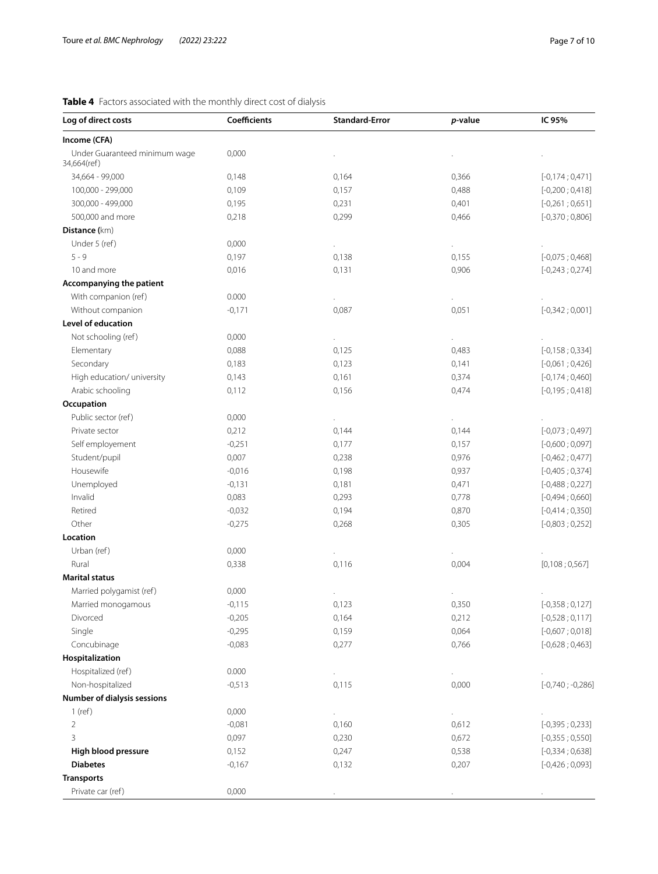## <span id="page-6-0"></span>**Table 4** Factors associated with the monthly direct cost of dialysis

| Log of direct costs                          | <b>Coefficients</b> | <b>Standard-Error</b> | p-value | IC 95%               |
|----------------------------------------------|---------------------|-----------------------|---------|----------------------|
| Income (CFA)                                 |                     |                       |         |                      |
| Under Guaranteed minimum wage<br>34,664(ref) | 0,000               |                       |         |                      |
| 34,664 - 99,000                              | 0,148               | 0,164                 | 0,366   | $[-0, 174; 0, 471]$  |
| 100,000 - 299,000                            | 0,109               | 0,157                 | 0,488   | $[-0,200;0,418]$     |
| 300,000 - 499,000                            | 0,195               | 0,231                 | 0,401   | $[-0,261;0,651]$     |
| 500,000 and more                             | 0,218               | 0,299                 | 0,466   | $[-0,370;0,806]$     |
| Distance (km)                                |                     |                       |         |                      |
| Under 5 (ref)                                | 0,000               | $\ddot{\phantom{0}}$  |         |                      |
| $5 - 9$                                      | 0,197               | 0,138                 | 0,155   | $[-0,075;0,468]$     |
| 10 and more                                  | 0,016               | 0,131                 | 0,906   | $[-0, 243; 0, 274]$  |
| Accompanying the patient                     |                     |                       |         |                      |
| With companion (ref)                         | 0.000               |                       |         |                      |
| Without companion                            | $-0,171$            | 0,087                 | 0,051   | $[-0,342;0,001]$     |
| Level of education                           |                     |                       |         |                      |
| Not schooling (ref)                          | 0,000               |                       |         |                      |
| Elementary                                   | 0,088               | 0,125                 | 0,483   | $[-0, 158; 0, 334]$  |
| Secondary                                    | 0,183               | 0,123                 | 0,141   | $[-0,061;0,426]$     |
| High education/ university                   | 0,143               | 0,161                 | 0,374   | $[-0, 174; 0, 460]$  |
| Arabic schooling                             | 0,112               | 0,156                 | 0,474   | $[-0, 195; 0, 418]$  |
| Occupation                                   |                     |                       |         |                      |
| Public sector (ref)                          | 0,000               |                       |         |                      |
| Private sector                               | 0,212               | 0,144                 | 0,144   | $[-0,073;0,497]$     |
| Self employement                             | $-0,251$            | 0,177                 | 0,157   | $[-0,600;0,097]$     |
| Student/pupil                                | 0,007               | 0,238                 | 0,976   | $[-0,462;0,477]$     |
| Housewife                                    | $-0,016$            | 0,198                 | 0,937   | $[-0,405;0,374]$     |
| Unemployed                                   | $-0,131$            | 0,181                 | 0,471   | $[-0,488;0,227]$     |
| Invalid                                      | 0,083               | 0,293                 | 0,778   | $[-0,494;0,660]$     |
| Retired                                      | $-0,032$            | 0,194                 | 0,870   | $[-0,414;0,350]$     |
| Other                                        | $-0,275$            | 0,268                 | 0,305   | $[-0,803; 0,252]$    |
| Location                                     |                     |                       |         |                      |
| Urban (ref)                                  | 0,000               | $\blacksquare$        |         |                      |
| Rural                                        | 0,338               | 0,116                 | 0,004   | [0,108;0,567]        |
| <b>Marital status</b>                        |                     |                       |         |                      |
| Married polygamist (ref)                     | 0,000               |                       |         |                      |
| Married monogamous                           | $-0,115$            | 0,123                 | 0,350   | $[-0, 358; 0, 127]$  |
| Divorced                                     | $-0,205$            | 0,164                 | 0,212   | $[-0,528;0,117]$     |
| Single                                       | $-0,295$            | 0,159                 | 0,064   | $[-0,607;0,018]$     |
| Concubinage                                  | $-0,083$            | 0,277                 | 0,766   | $[-0,628;0,463]$     |
| Hospitalization                              |                     |                       |         |                      |
| Hospitalized (ref)                           | 0.000               | ä,                    |         |                      |
| Non-hospitalized                             | $-0,513$            | 0,115                 | 0,000   | $[-0, 740; -0, 286]$ |
| Number of dialysis sessions                  |                     |                       |         |                      |
| $1$ (ref)                                    | 0,000               | ÷.                    |         |                      |
| $\overline{2}$                               | $-0,081$            | 0,160                 | 0,612   | $[-0, 395; 0, 233]$  |
| 3                                            | 0,097               | 0,230                 | 0,672   | $[-0, 355; 0, 550]$  |
| High blood pressure                          | 0,152               | 0,247                 | 0,538   | $[-0, 334; 0, 638]$  |
| <b>Diabetes</b>                              | $-0,167$            | 0,132                 | 0,207   | $[-0,426;0,093]$     |
| <b>Transports</b>                            |                     |                       |         |                      |
| Private car (ref)                            | 0,000               |                       |         |                      |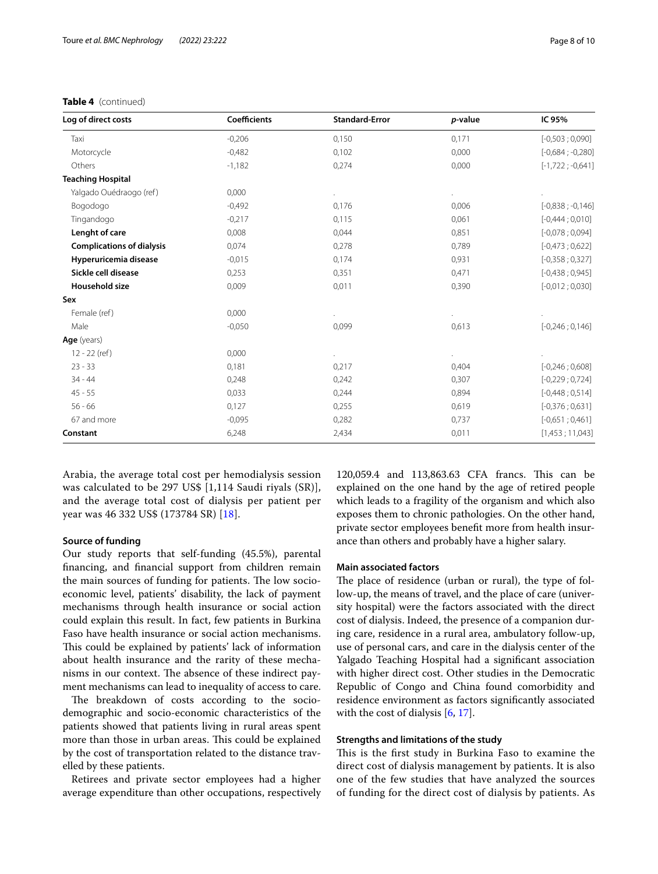## **Table 4** (continued)

| Log of direct costs              | <b>Coefficients</b> | <b>Standard-Error</b> | p-value | IC 95%               |
|----------------------------------|---------------------|-----------------------|---------|----------------------|
| Taxi                             | $-0,206$            | 0,150                 | 0,171   | $[-0,503; 0,090]$    |
| Motorcycle                       | $-0,482$            | 0,102                 | 0,000   | $[-0,684; -0,280]$   |
| Others                           | $-1,182$            | 0,274                 | 0,000   | $[-1, 722; -0, 641]$ |
| <b>Teaching Hospital</b>         |                     |                       |         |                      |
| Yalgado Ouédraogo (ref)          | 0,000               |                       |         |                      |
| Bogodogo                         | $-0,492$            | 0,176                 | 0,006   | $[-0,838; -0,146]$   |
| Tingandogo                       | $-0,217$            | 0,115                 | 0.061   | $[-0,444;0,010]$     |
| Lenght of care                   | 0,008               | 0,044                 | 0,851   | $[-0,078;0,094]$     |
| <b>Complications of dialysis</b> | 0,074               | 0,278                 | 0,789   | $[-0,473;0,622]$     |
| Hyperuricemia disease            | $-0,015$            | 0,174                 | 0,931   | $[-0,358;0,327]$     |
| Sickle cell disease              | 0,253               | 0,351                 | 0,471   | $[-0,438;0,945]$     |
| <b>Household size</b>            | 0,009               | 0,011                 | 0,390   | $[-0,012;0,030]$     |
| Sex                              |                     |                       |         |                      |
| Female (ref)                     | 0,000               |                       |         |                      |
| Male                             | $-0.050$            | 0,099                 | 0,613   | $[-0, 246; 0, 146]$  |
| Age (years)                      |                     |                       |         |                      |
| 12 - 22 (ref)                    | 0,000               |                       |         |                      |
| $23 - 33$                        | 0,181               | 0,217                 | 0,404   | $[-0, 246; 0, 608]$  |
| 34 - 44                          | 0,248               | 0,242                 | 0,307   | $[-0, 229; 0, 724]$  |
| $45 - 55$                        | 0,033               | 0,244                 | 0,894   | $[-0,448;0,514]$     |
| $56 - 66$                        | 0,127               | 0,255                 | 0,619   | $[-0,376;0,631]$     |
| 67 and more                      | $-0,095$            | 0,282                 | 0,737   | $[-0,651;0,461]$     |
| Constant                         | 6,248               | 2,434                 | 0,011   | [1,453; 11,043]      |

Arabia, the average total cost per hemodialysis session was calculated to be 297 US\$ [1,114 Saudi riyals (SR)], and the average total cost of dialysis per patient per year was 46 332 US\$ (173784 SR) [[18\]](#page-9-6).

## **Source of funding**

Our study reports that self-funding (45.5%), parental fnancing, and fnancial support from children remain the main sources of funding for patients. The low socioeconomic level, patients' disability, the lack of payment mechanisms through health insurance or social action could explain this result. In fact, few patients in Burkina Faso have health insurance or social action mechanisms. This could be explained by patients' lack of information about health insurance and the rarity of these mechanisms in our context. The absence of these indirect payment mechanisms can lead to inequality of access to care.

The breakdown of costs according to the sociodemographic and socio-economic characteristics of the patients showed that patients living in rural areas spent more than those in urban areas. This could be explained by the cost of transportation related to the distance travelled by these patients.

Retirees and private sector employees had a higher average expenditure than other occupations, respectively

120,059.4 and 113,863.63 CFA francs. This can be explained on the one hand by the age of retired people which leads to a fragility of the organism and which also exposes them to chronic pathologies. On the other hand, private sector employees beneft more from health insurance than others and probably have a higher salary.

## **Main associated factors**

The place of residence (urban or rural), the type of follow-up, the means of travel, and the place of care (university hospital) were the factors associated with the direct cost of dialysis. Indeed, the presence of a companion during care, residence in a rural area, ambulatory follow-up, use of personal cars, and care in the dialysis center of the Yalgado Teaching Hospital had a signifcant association with higher direct cost. Other studies in the Democratic Republic of Congo and China found comorbidity and residence environment as factors signifcantly associated with the cost of dialysis  $[6, 17]$  $[6, 17]$  $[6, 17]$ .

## **Strengths and limitations of the study**

This is the first study in Burkina Faso to examine the direct cost of dialysis management by patients. It is also one of the few studies that have analyzed the sources of funding for the direct cost of dialysis by patients. As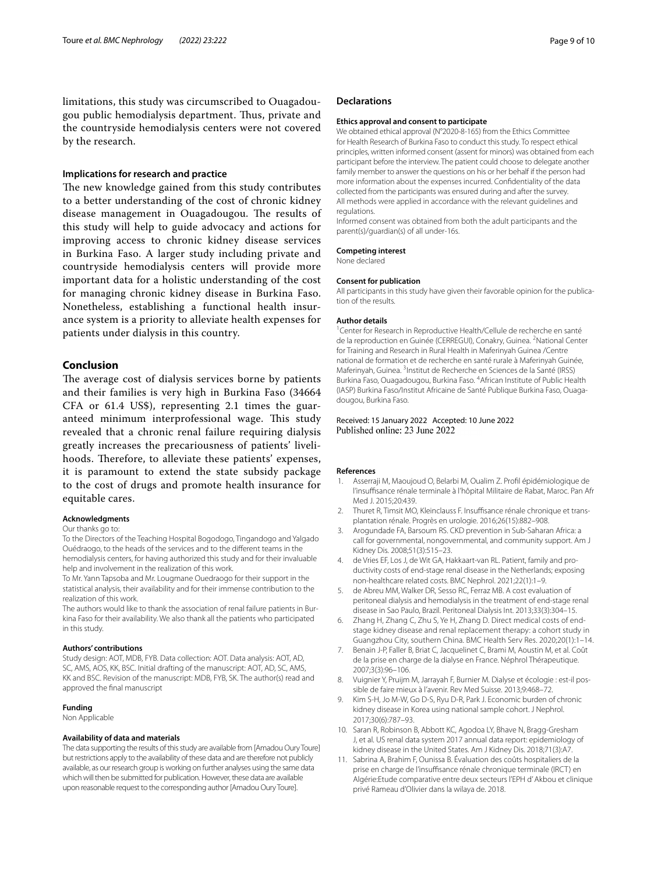limitations, this study was circumscribed to Ouagadougou public hemodialysis department. Tus, private and the countryside hemodialysis centers were not covered by the research.

## **Implications for research and practice**

The new knowledge gained from this study contributes to a better understanding of the cost of chronic kidney disease management in Ouagadougou. The results of this study will help to guide advocacy and actions for improving access to chronic kidney disease services in Burkina Faso. A larger study including private and countryside hemodialysis centers will provide more important data for a holistic understanding of the cost for managing chronic kidney disease in Burkina Faso. Nonetheless, establishing a functional health insurance system is a priority to alleviate health expenses for patients under dialysis in this country.

## **Conclusion**

The average cost of dialysis services borne by patients and their families is very high in Burkina Faso (34664 CFA or 61.4 US\$), representing 2.1 times the guaranteed minimum interprofessional wage. This study revealed that a chronic renal failure requiring dialysis greatly increases the precariousness of patients' livelihoods. Therefore, to alleviate these patients' expenses, it is paramount to extend the state subsidy package to the cost of drugs and promote health insurance for equitable cares.

#### **Acknowledgments**

#### Our thanks go to:

To the Directors of the Teaching Hospital Bogodogo, Tingandogo and Yalgado Ouédraogo, to the heads of the services and to the diferent teams in the hemodialysis centers, for having authorized this study and for their invaluable help and involvement in the realization of this work.

To Mr. Yann Tapsoba and Mr. Lougmane Ouedraogo for their support in the statistical analysis, their availability and for their immense contribution to the realization of this work.

The authors would like to thank the association of renal failure patients in Burkina Faso for their availability. We also thank all the patients who participated in this study.

#### **Authors' contributions**

Study design: AOT, MDB, FYB. Data collection: AOT. Data analysis: AOT, AD, SC, AMS, AOS, KK, BSC. Initial drafting of the manuscript: AOT, AD, SC, AMS, KK and BSC. Revision of the manuscript: MDB, FYB, SK. The author(s) read and approved the fnal manuscript

#### **Funding**

Non Applicable

### **Availability of data and materials**

The data supporting the results of this study are available from [Amadou Oury Toure] but restrictions apply to the availability of these data and are therefore not publicly available, as our research group is working on further analyses using the same data which will then be submitted for publication. However, these data are available upon reasonable request to the corresponding author [Amadou Oury Toure].

#### **Declarations**

#### **Ethics approval and consent to participate**

We obtained ethical approval (N°2020-8-165) from the Ethics Committee for Health Research of Burkina Faso to conduct this study. To respect ethical principles, written informed consent (assent for minors) was obtained from each participant before the interview. The patient could choose to delegate another family member to answer the questions on his or her behalf if the person had more information about the expenses incurred. Confdentiality of the data collected from the participants was ensured during and after the survey. All methods were applied in accordance with the relevant quidelines and regulations.

Informed consent was obtained from both the adult participants and the parent(s)/guardian(s) of all under-16s.

#### **Competing interest**

None declared

#### **Consent for publication**

All participants in this study have given their favorable opinion for the publication of the results.

#### **Author details**

<sup>1</sup> Center for Research in Reproductive Health/Cellule de recherche en santé de la reproduction en Guinée (CERREGUI), Conakry, Guinea. <sup>2</sup>National Center for Training and Research in Rural Health in Maferinyah Guinea /Centre national de formation et de recherche en santé rurale à Maferinyah Guinée, Maferinyah, Guinea. <sup>3</sup>Institut de Recherche en Sciences de la Santé (IRSS) Burkina Faso, Ouagadougou, Burkina Faso. 4 African Institute of Public Health (IASP) Burkina Faso/Institut Africaine de Santé Publique Burkina Faso, Ouagadougou, Burkina Faso.

## Received: 15 January 2022 Accepted: 10 June 2022 Published online: 23 June 2022

#### **References**

- <span id="page-8-0"></span>1. Asserraji M, Maoujoud O, Belarbi M, Oualim Z. Profl épidémiologique de l'insuffisance rénale terminale à l'hôpital Militaire de Rabat, Maroc. Pan Afr Med J. 2015;20:439.
- <span id="page-8-1"></span>2. Thuret R, Timsit MO, Kleinclauss F. Insuffisance rénale chronique et transplantation rénale. Progrès en urologie. 2016;26(15):882–908.
- <span id="page-8-2"></span>3. Arogundade FA, Barsoum RS. CKD prevention in Sub-Saharan Africa: a call for governmental, nongovernmental, and community support. Am J Kidney Dis. 2008;51(3):515–23.
- <span id="page-8-3"></span>4. de Vries EF, Los J, de Wit GA, Hakkaart-van RL. Patient, family and productivity costs of end-stage renal disease in the Netherlands; exposing non-healthcare related costs. BMC Nephrol. 2021;22(1):1–9.
- <span id="page-8-10"></span>5. de Abreu MM, Walker DR, Sesso RC, Ferraz MB. A cost evaluation of peritoneal dialysis and hemodialysis in the treatment of end-stage renal disease in Sao Paulo, Brazil. Peritoneal Dialysis Int. 2013;33(3):304–15.
- <span id="page-8-4"></span>6. Zhang H, Zhang C, Zhu S, Ye H, Zhang D. Direct medical costs of endstage kidney disease and renal replacement therapy: a cohort study in Guangzhou City, southern China. BMC Health Serv Res. 2020;20(1):1–14.
- <span id="page-8-5"></span>7. Benain J-P, Faller B, Briat C, Jacquelinet C, Brami M, Aoustin M, et al. Coût de la prise en charge de la dialyse en France. Néphrol Thérapeutique. 2007;3(3):96–106.
- <span id="page-8-6"></span>8. Vuignier Y, Pruijm M, Jarrayah F, Burnier M. Dialyse et écologie : est-il possible de faire mieux à l'avenir. Rev Med Suisse. 2013;9:468–72.
- <span id="page-8-7"></span>9. Kim S-H, Jo M-W, Go D-S, Ryu D-R, Park J. Economic burden of chronic kidney disease in Korea using national sample cohort. J Nephrol. 2017;30(6):787–93.
- <span id="page-8-8"></span>10. Saran R, Robinson B, Abbott KC, Agodoa LY, Bhave N, Bragg-Gresham J, et al. US renal data system 2017 annual data report: epidemiology of kidney disease in the United States. Am J Kidney Dis. 2018;71(3):A7.
- <span id="page-8-9"></span>11. Sabrina A, Brahim F, Ounissa B. Évaluation des coûts hospitaliers de la prise en charge de l'insuffisance rénale chronique terminale (IRCT) en Algérie:Etude comparative entre deux secteurs l'EPH d' Akbou et clinique privé Rameau d'Olivier dans la wilaya de. 2018.